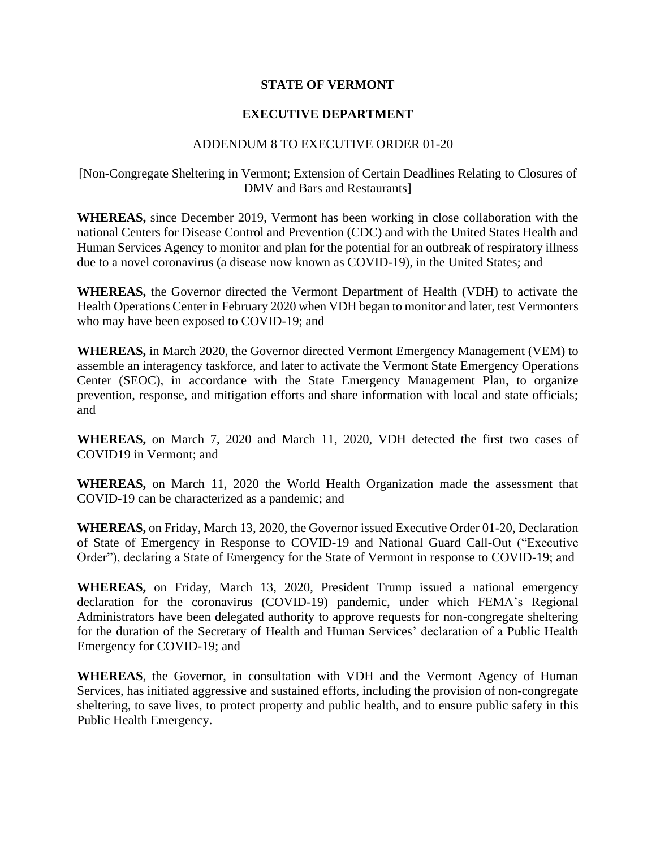## **STATE OF VERMONT**

## **EXECUTIVE DEPARTMENT**

## ADDENDUM 8 TO EXECUTIVE ORDER 01-20

## [Non-Congregate Sheltering in Vermont; Extension of Certain Deadlines Relating to Closures of DMV and Bars and Restaurants]

**WHEREAS,** since December 2019, Vermont has been working in close collaboration with the national Centers for Disease Control and Prevention (CDC) and with the United States Health and Human Services Agency to monitor and plan for the potential for an outbreak of respiratory illness due to a novel coronavirus (a disease now known as COVID-19), in the United States; and

**WHEREAS,** the Governor directed the Vermont Department of Health (VDH) to activate the Health Operations Center in February 2020 when VDH began to monitor and later, test Vermonters who may have been exposed to COVID-19; and

**WHEREAS,** in March 2020, the Governor directed Vermont Emergency Management (VEM) to assemble an interagency taskforce, and later to activate the Vermont State Emergency Operations Center (SEOC), in accordance with the State Emergency Management Plan, to organize prevention, response, and mitigation efforts and share information with local and state officials; and

**WHEREAS,** on March 7, 2020 and March 11, 2020, VDH detected the first two cases of COVID19 in Vermont; and

**WHEREAS,** on March 11, 2020 the World Health Organization made the assessment that COVID-19 can be characterized as a pandemic; and

**WHEREAS,** on Friday, March 13, 2020, the Governor issued Executive Order 01-20, Declaration of State of Emergency in Response to COVID-19 and National Guard Call-Out ("Executive Order"), declaring a State of Emergency for the State of Vermont in response to COVID-19; and

**WHEREAS,** on Friday, March 13, 2020, President Trump issued a national emergency declaration for the coronavirus (COVID-19) pandemic, under which FEMA's Regional Administrators have been delegated authority to approve requests for non-congregate sheltering for the duration of the Secretary of Health and Human Services' declaration of a Public Health Emergency for COVID-19; and

**WHEREAS**, the Governor, in consultation with VDH and the Vermont Agency of Human Services, has initiated aggressive and sustained efforts, including the provision of non-congregate sheltering, to save lives, to protect property and public health, and to ensure public safety in this Public Health Emergency.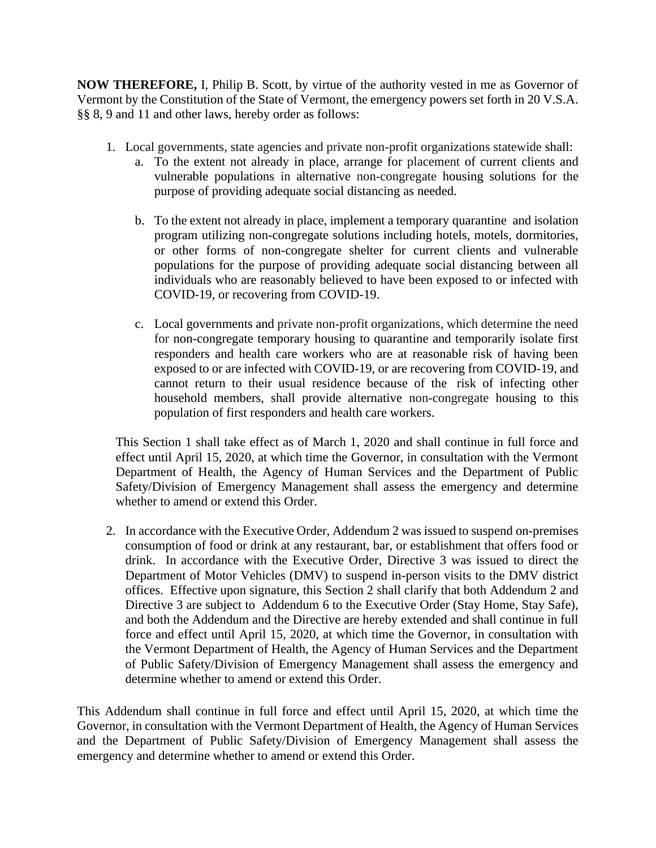**NOW THEREFORE,** I, Philip B. Scott, by virtue of the authority vested in me as Governor of Vermont by the Constitution of the State of Vermont, the emergency powers set forth in 20 V.S.A. §§ 8, 9 and 11 and other laws, hereby order as follows:

- 1. Local governments, state agencies and private non-profit organizations statewide shall:
	- a. To the extent not already in place, arrange for placement of current clients and vulnerable populations in alternative non-congregate housing solutions for the purpose of providing adequate social distancing as needed.
	- b. To the extent not already in place, implement a temporary quarantine and isolation program utilizing non-congregate solutions including hotels, motels, dormitories, or other forms of non-congregate shelter for current clients and vulnerable populations for the purpose of providing adequate social distancing between all individuals who are reasonably believed to have been exposed to or infected with COVID-19, or recovering from COVID-19.
	- c. Local governments and private non-profit organizations, which determine the need for non-congregate temporary housing to quarantine and temporarily isolate first responders and health care workers who are at reasonable risk of having been exposed to or are infected with COVID-19, or are recovering from COVID-19, and cannot return to their usual residence because of the risk of infecting other household members, shall provide alternative non-congregate housing to this population of first responders and health care workers.

This Section 1 shall take effect as of March 1, 2020 and shall continue in full force and effect until April 15, 2020, at which time the Governor, in consultation with the Vermont Department of Health, the Agency of Human Services and the Department of Public Safety/Division of Emergency Management shall assess the emergency and determine whether to amend or extend this Order.

2. In accordance with the Executive Order, Addendum 2 was issued to suspend on-premises consumption of food or drink at any restaurant, bar, or establishment that offers food or drink. In accordance with the Executive Order, Directive 3 was issued to direct the Department of Motor Vehicles (DMV) to suspend in-person visits to the DMV district offices. Effective upon signature, this Section 2 shall clarify that both Addendum 2 and Directive 3 are subject to Addendum 6 to the Executive Order (Stay Home, Stay Safe), and both the Addendum and the Directive are hereby extended and shall continue in full force and effect until April 15, 2020, at which time the Governor, in consultation with the Vermont Department of Health, the Agency of Human Services and the Department of Public Safety/Division of Emergency Management shall assess the emergency and determine whether to amend or extend this Order.

This Addendum shall continue in full force and effect until April 15, 2020, at which time the Governor, in consultation with the Vermont Department of Health, the Agency of Human Services and the Department of Public Safety/Division of Emergency Management shall assess the emergency and determine whether to amend or extend this Order.